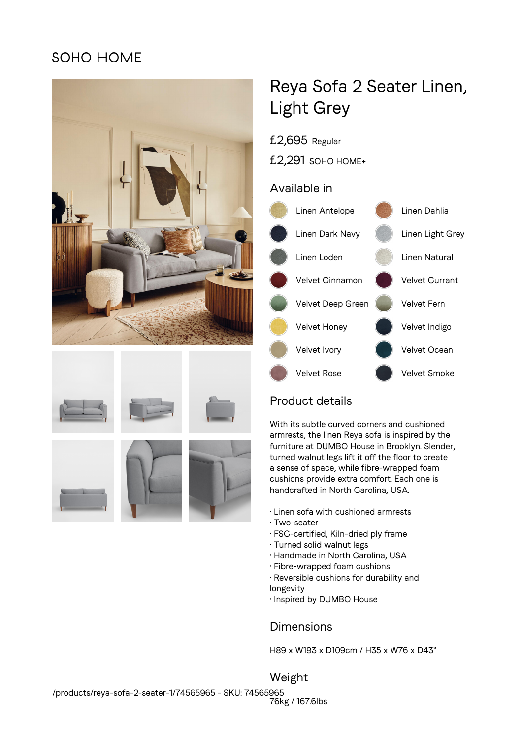## SOHO HOME









# Reya Sofa 2 Seater Linen, Light Grey

- £2,695 Regular
- £2,291 SOHO HOME+

#### Available in



## Product details

With its subtle curved corners and cushioned armrests, the linen Reya sofa is inspired by the furniture at DUMBO House in Brooklyn. Slender, turned walnut legs lift it off the floor to create a sense of space, while fibre-wrapped foam cushions provide extra comfort. Each one is handcrafted in North Carolina, USA.

- Linen sofa with cushioned armrests
- Two-seater
- FSC-certified, Kiln-dried ply frame
- Turned solid walnut legs
- Handmade in North Carolina, USA
- Fibre-wrapped foam cushions
- Reversible cushions for durability and longevity
- Inspired by DUMBO House

### Dimensions

H89 x W193 x D109cm / H35 x W76 x D43"

Weight 76kg / 167.6lbs /products/reya-sofa-2-seater-1/74565965 - SKU: 74565965